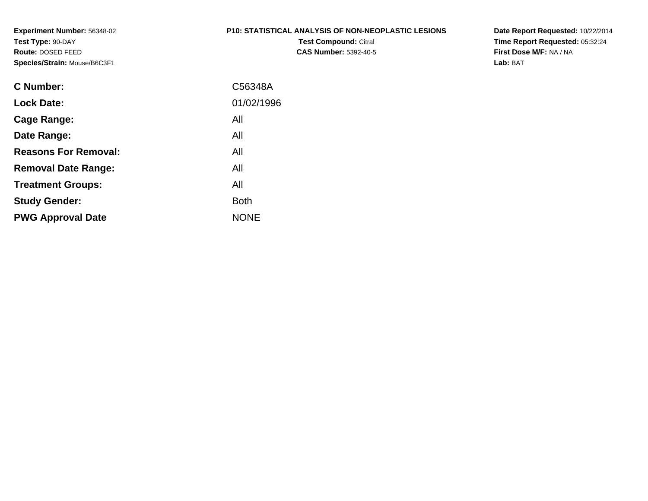#### **P10: STATISTICAL ANALYSIS OF NON-NEOPLASTIC LESIONS**

**Test Compound:** Citral **CAS Number:** 5392-40-5 **Date Report Requested:** 10/22/2014 **Time Report Requested:** 05:32:24**First Dose M/F:** NA / NA**Lab:** BAT

| <b>C</b> Number:            | C56348A     |
|-----------------------------|-------------|
| <b>Lock Date:</b>           | 01/02/1996  |
| Cage Range:                 | All         |
| Date Range:                 | All         |
| <b>Reasons For Removal:</b> | All         |
| <b>Removal Date Range:</b>  | All         |
| <b>Treatment Groups:</b>    | All         |
| <b>Study Gender:</b>        | <b>Both</b> |
| <b>PWG Approval Date</b>    | <b>NONE</b> |
|                             |             |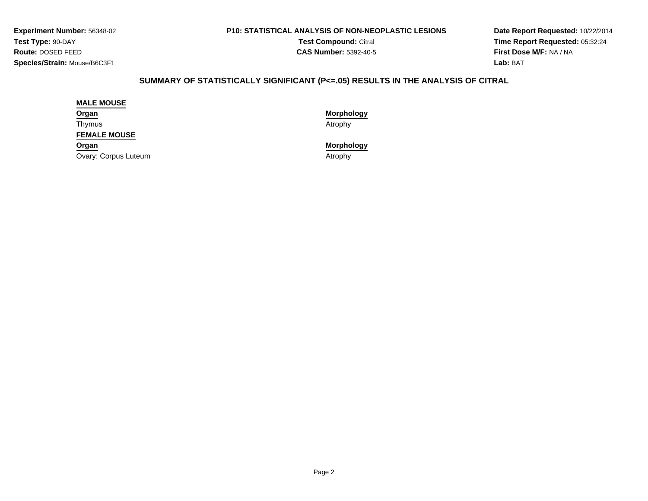#### **P10: STATISTICAL ANALYSIS OF NON-NEOPLASTIC LESIONS**

**Test Compound:** Citral **CAS Number:** 5392-40-5

**Date Report Requested:** 10/22/2014**Time Report Requested:** 05:32:24**First Dose M/F:** NA / NA**Lab:** BAT

# **SUMMARY OF STATISTICALLY SIGNIFICANT (P<=.05) RESULTS IN THE ANALYSIS OF CITRAL**

#### **MALE MOUSE**

**Organ**Thymus

**FEMALE MOUSE**

**Organ**

Ovary: Corpus Luteum

**Morphology**

s and the contract of the contract of the contract of the contract of the contract of the contract of the contract of  $\mathcal{A}$ 

**Morphology**

m and the contract of the contract of the contract of the contract of the contract of the contract of the contract of the contract of the contract of the contract of the contract of the contract of the contract of the cont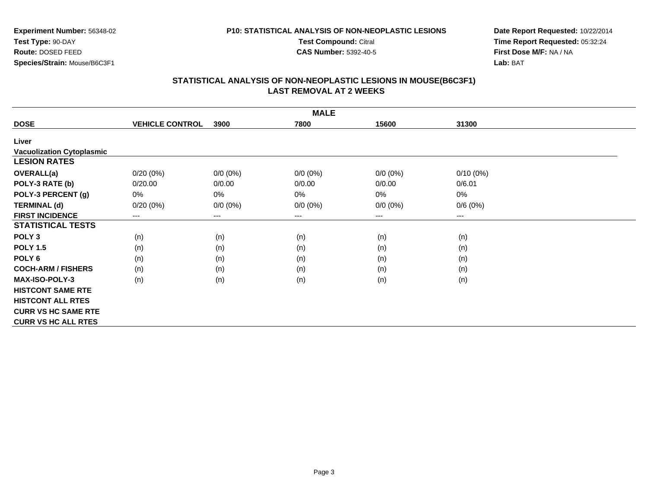#### **P10: STATISTICAL ANALYSIS OF NON-NEOPLASTIC LESIONS**

**Test Compound:** Citral

**CAS Number:** 5392-40-5

**Date Report Requested:** 10/22/2014**Time Report Requested:** 05:32:24**First Dose M/F:** NA / NA**Lab:** BAT

|                                  |                        |             | <b>MALE</b>            |             |             |  |
|----------------------------------|------------------------|-------------|------------------------|-------------|-------------|--|
| <b>DOSE</b>                      | <b>VEHICLE CONTROL</b> | 3900        | 7800                   | 15600       | 31300       |  |
| Liver                            |                        |             |                        |             |             |  |
| <b>Vacuolization Cytoplasmic</b> |                        |             |                        |             |             |  |
| <b>LESION RATES</b>              |                        |             |                        |             |             |  |
| <b>OVERALL(a)</b>                | $0/20(0\%)$            | $0/0 (0\%)$ | $0/0 (0\%)$            | $0/0 (0\%)$ | $0/10(0\%)$ |  |
| POLY-3 RATE (b)                  | 0/20.00                | 0/0.00      | 0/0.00                 | 0/0.00      | 0/6.01      |  |
| POLY-3 PERCENT (g)               | 0%                     | 0%          | 0%                     | 0%          | 0%          |  |
| <b>TERMINAL (d)</b>              | $0/20(0\%)$            | $0/0 (0\%)$ | $0/0 (0\%)$            | $0/0 (0\%)$ | 0/6(0%)     |  |
| <b>FIRST INCIDENCE</b>           | ---                    | ---         | $\qquad \qquad \cdots$ | ---         | ---         |  |
| <b>STATISTICAL TESTS</b>         |                        |             |                        |             |             |  |
| POLY <sub>3</sub>                | (n)                    | (n)         | (n)                    | (n)         | (n)         |  |
| <b>POLY 1.5</b>                  | (n)                    | (n)         | (n)                    | (n)         | (n)         |  |
| POLY <sub>6</sub>                | (n)                    | (n)         | (n)                    | (n)         | (n)         |  |
| <b>COCH-ARM / FISHERS</b>        | (n)                    | (n)         | (n)                    | (n)         | (n)         |  |
| <b>MAX-ISO-POLY-3</b>            | (n)                    | (n)         | (n)                    | (n)         | (n)         |  |
| <b>HISTCONT SAME RTE</b>         |                        |             |                        |             |             |  |
| <b>HISTCONT ALL RTES</b>         |                        |             |                        |             |             |  |
| <b>CURR VS HC SAME RTE</b>       |                        |             |                        |             |             |  |
| <b>CURR VS HC ALL RTES</b>       |                        |             |                        |             |             |  |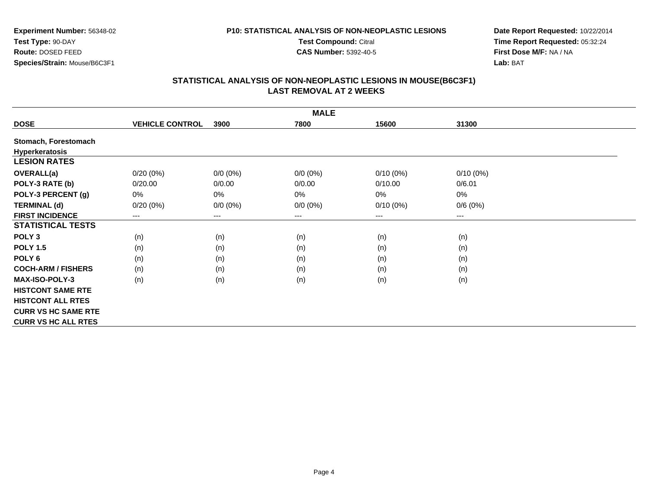#### **P10: STATISTICAL ANALYSIS OF NON-NEOPLASTIC LESIONS**

**Test Compound:** Citral

**CAS Number:** 5392-40-5

**Date Report Requested:** 10/22/2014**Time Report Requested:** 05:32:24**First Dose M/F:** NA / NA**Lab:** BAT

|                            |                        |             | <b>MALE</b> |             |             |  |
|----------------------------|------------------------|-------------|-------------|-------------|-------------|--|
| <b>DOSE</b>                | <b>VEHICLE CONTROL</b> | 3900        | 7800        | 15600       | 31300       |  |
| Stomach, Forestomach       |                        |             |             |             |             |  |
| <b>Hyperkeratosis</b>      |                        |             |             |             |             |  |
| <b>LESION RATES</b>        |                        |             |             |             |             |  |
| <b>OVERALL(a)</b>          | $0/20(0\%)$            | $0/0 (0\%)$ | $0/0 (0\%)$ | $0/10(0\%)$ | $0/10(0\%)$ |  |
| POLY-3 RATE (b)            | 0/20.00                | 0/0.00      | 0/0.00      | 0/10.00     | 0/6.01      |  |
| POLY-3 PERCENT (g)         | $0\%$                  | $0\%$       | 0%          | 0%          | 0%          |  |
| <b>TERMINAL (d)</b>        | 0/20(0%)               | $0/0 (0\%)$ | $0/0 (0\%)$ | $0/10(0\%)$ | 0/6(0%)     |  |
| <b>FIRST INCIDENCE</b>     | ---                    | ---         | ---         | ---         | $---$       |  |
| <b>STATISTICAL TESTS</b>   |                        |             |             |             |             |  |
| POLY <sub>3</sub>          | (n)                    | (n)         | (n)         | (n)         | (n)         |  |
| <b>POLY 1.5</b>            | (n)                    | (n)         | (n)         | (n)         | (n)         |  |
| POLY <sub>6</sub>          | (n)                    | (n)         | (n)         | (n)         | (n)         |  |
| <b>COCH-ARM / FISHERS</b>  | (n)                    | (n)         | (n)         | (n)         | (n)         |  |
| <b>MAX-ISO-POLY-3</b>      | (n)                    | (n)         | (n)         | (n)         | (n)         |  |
| <b>HISTCONT SAME RTE</b>   |                        |             |             |             |             |  |
| <b>HISTCONT ALL RTES</b>   |                        |             |             |             |             |  |
| <b>CURR VS HC SAME RTE</b> |                        |             |             |             |             |  |
| <b>CURR VS HC ALL RTES</b> |                        |             |             |             |             |  |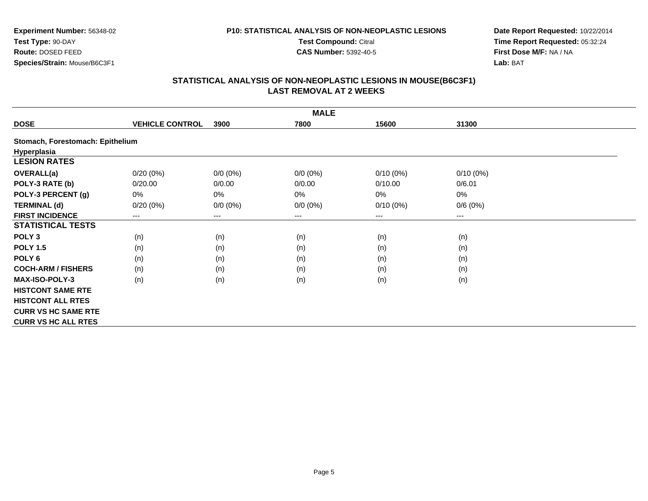#### **P10: STATISTICAL ANALYSIS OF NON-NEOPLASTIC LESIONS**

**Test Compound:** Citral

**CAS Number:** 5392-40-5

**Date Report Requested:** 10/22/2014**Time Report Requested:** 05:32:24**First Dose M/F:** NA / NA**Lab:** BAT

|                                  |                        |             | <b>MALE</b> |             |             |
|----------------------------------|------------------------|-------------|-------------|-------------|-------------|
| <b>DOSE</b>                      | <b>VEHICLE CONTROL</b> | 3900        | 7800        | 15600       | 31300       |
| Stomach, Forestomach: Epithelium |                        |             |             |             |             |
| Hyperplasia                      |                        |             |             |             |             |
| <b>LESION RATES</b>              |                        |             |             |             |             |
| <b>OVERALL(a)</b>                | $0/20(0\%)$            | $0/0 (0\%)$ | $0/0(0\%)$  | $0/10(0\%)$ | $0/10(0\%)$ |
| POLY-3 RATE (b)                  | 0/20.00                | 0/0.00      | 0/0.00      | 0/10.00     | 0/6.01      |
| POLY-3 PERCENT (g)               | 0%                     | 0%          | 0%          | 0%          | 0%          |
| <b>TERMINAL (d)</b>              | $0/20(0\%)$            | $0/0 (0\%)$ | $0/0 (0\%)$ | $0/10(0\%)$ | 0/6(0%)     |
| <b>FIRST INCIDENCE</b>           | ---                    | ---         | $--$        | ---         | $---$       |
| <b>STATISTICAL TESTS</b>         |                        |             |             |             |             |
| POLY <sub>3</sub>                | (n)                    | (n)         | (n)         | (n)         | (n)         |
| <b>POLY 1.5</b>                  | (n)                    | (n)         | (n)         | (n)         | (n)         |
| POLY <sub>6</sub>                | (n)                    | (n)         | (n)         | (n)         | (n)         |
| <b>COCH-ARM / FISHERS</b>        | (n)                    | (n)         | (n)         | (n)         | (n)         |
| <b>MAX-ISO-POLY-3</b>            | (n)                    | (n)         | (n)         | (n)         | (n)         |
| <b>HISTCONT SAME RTE</b>         |                        |             |             |             |             |
| <b>HISTCONT ALL RTES</b>         |                        |             |             |             |             |
| <b>CURR VS HC SAME RTE</b>       |                        |             |             |             |             |
| <b>CURR VS HC ALL RTES</b>       |                        |             |             |             |             |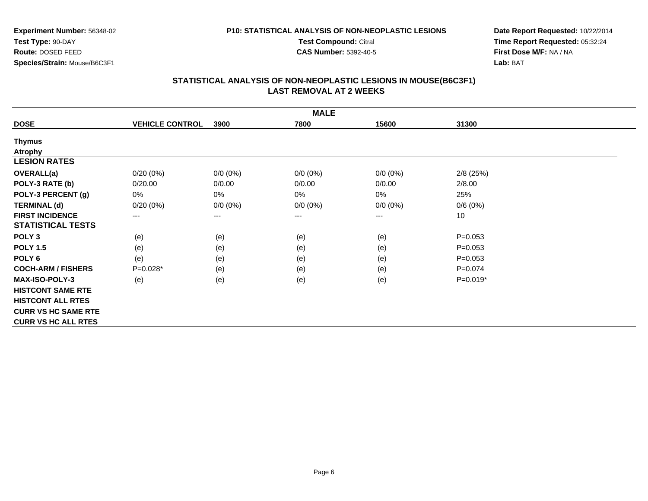#### **P10: STATISTICAL ANALYSIS OF NON-NEOPLASTIC LESIONS**

**Test Compound:** Citral

**CAS Number:** 5392-40-5

**Date Report Requested:** 10/22/2014**Time Report Requested:** 05:32:24**First Dose M/F:** NA / NA**Lab:** BAT

|                            |                        |                            | <b>MALE</b> |                            |             |
|----------------------------|------------------------|----------------------------|-------------|----------------------------|-------------|
| <b>DOSE</b>                | <b>VEHICLE CONTROL</b> | 3900                       | 7800        | 15600                      | 31300       |
| <b>Thymus</b>              |                        |                            |             |                            |             |
| <b>Atrophy</b>             |                        |                            |             |                            |             |
| <b>LESION RATES</b>        |                        |                            |             |                            |             |
| <b>OVERALL(a)</b>          | 0/20(0%)               | $0/0 (0\%)$                | $0/0 (0\%)$ | $0/0 (0\%)$                | $2/8$ (25%) |
| POLY-3 RATE (b)            | 0/20.00                | 0/0.00                     | 0/0.00      | 0/0.00                     | 2/8.00      |
| POLY-3 PERCENT (g)         | 0%                     | $0\%$                      | 0%          | 0%                         | 25%         |
| <b>TERMINAL (d)</b>        | 0/20(0%)               | $0/0 (0\%)$                | $0/0 (0\%)$ | $0/0 (0\%)$                | 0/6(0%)     |
| <b>FIRST INCIDENCE</b>     | ---                    | $\qquad \qquad - \qquad -$ | ---         | $\qquad \qquad - \qquad -$ | 10          |
| <b>STATISTICAL TESTS</b>   |                        |                            |             |                            |             |
| POLY <sub>3</sub>          | (e)                    | (e)                        | (e)         | (e)                        | $P = 0.053$ |
| <b>POLY 1.5</b>            | (e)                    | (e)                        | (e)         | (e)                        | $P = 0.053$ |
| POLY 6                     | (e)                    | (e)                        | (e)         | (e)                        | $P = 0.053$ |
| <b>COCH-ARM / FISHERS</b>  | $P=0.028*$             | (e)                        | (e)         | (e)                        | $P=0.074$   |
| <b>MAX-ISO-POLY-3</b>      | (e)                    | (e)                        | (e)         | (e)                        | $P=0.019*$  |
| <b>HISTCONT SAME RTE</b>   |                        |                            |             |                            |             |
| <b>HISTCONT ALL RTES</b>   |                        |                            |             |                            |             |
| <b>CURR VS HC SAME RTE</b> |                        |                            |             |                            |             |
| <b>CURR VS HC ALL RTES</b> |                        |                            |             |                            |             |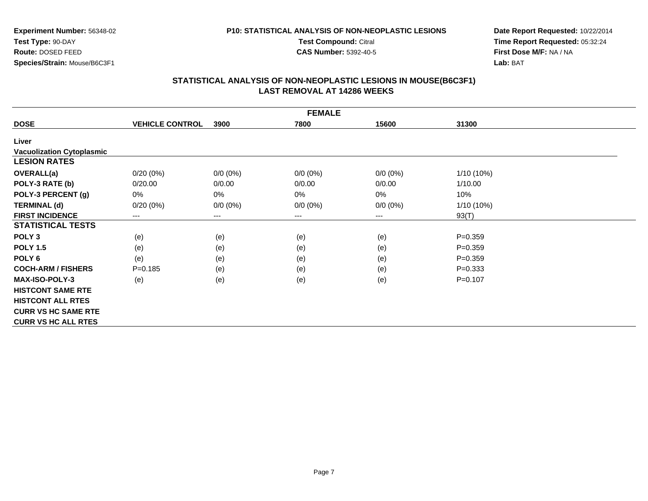#### **P10: STATISTICAL ANALYSIS OF NON-NEOPLASTIC LESIONS**

**Test Compound:** Citral

**CAS Number:** 5392-40-5

**Date Report Requested:** 10/22/2014**Time Report Requested:** 05:32:24**First Dose M/F:** NA / NA**Lab:** BAT

|                                  |                        |             | <b>FEMALE</b>          |             |             |
|----------------------------------|------------------------|-------------|------------------------|-------------|-------------|
| <b>DOSE</b>                      | <b>VEHICLE CONTROL</b> | 3900        | 7800                   | 15600       | 31300       |
| Liver                            |                        |             |                        |             |             |
| <b>Vacuolization Cytoplasmic</b> |                        |             |                        |             |             |
| <b>LESION RATES</b>              |                        |             |                        |             |             |
| <b>OVERALL(a)</b>                | 0/20(0%)               | $0/0 (0\%)$ | $0/0 (0\%)$            | $0/0 (0\%)$ | 1/10 (10%)  |
| POLY-3 RATE (b)                  | 0/20.00                | 0/0.00      | 0/0.00                 | 0/0.00      | 1/10.00     |
| POLY-3 PERCENT (g)               | 0%                     | 0%          | 0%                     | 0%          | 10%         |
| <b>TERMINAL (d)</b>              | 0/20(0%)               | $0/0 (0\%)$ | $0/0 (0\%)$            | $0/0 (0\%)$ | 1/10 (10%)  |
| <b>FIRST INCIDENCE</b>           | ---                    | $---$       | $\qquad \qquad \cdots$ | $---$       | 93(T)       |
| <b>STATISTICAL TESTS</b>         |                        |             |                        |             |             |
| POLY <sub>3</sub>                | (e)                    | (e)         | (e)                    | (e)         | $P = 0.359$ |
| <b>POLY 1.5</b>                  | (e)                    | (e)         | (e)                    | (e)         | $P = 0.359$ |
| POLY <sub>6</sub>                | (e)                    | (e)         | (e)                    | (e)         | $P = 0.359$ |
| <b>COCH-ARM / FISHERS</b>        | $P = 0.185$            | (e)         | (e)                    | (e)         | $P = 0.333$ |
| <b>MAX-ISO-POLY-3</b>            | (e)                    | (e)         | (e)                    | (e)         | $P=0.107$   |
| <b>HISTCONT SAME RTE</b>         |                        |             |                        |             |             |
| <b>HISTCONT ALL RTES</b>         |                        |             |                        |             |             |
| <b>CURR VS HC SAME RTE</b>       |                        |             |                        |             |             |
| <b>CURR VS HC ALL RTES</b>       |                        |             |                        |             |             |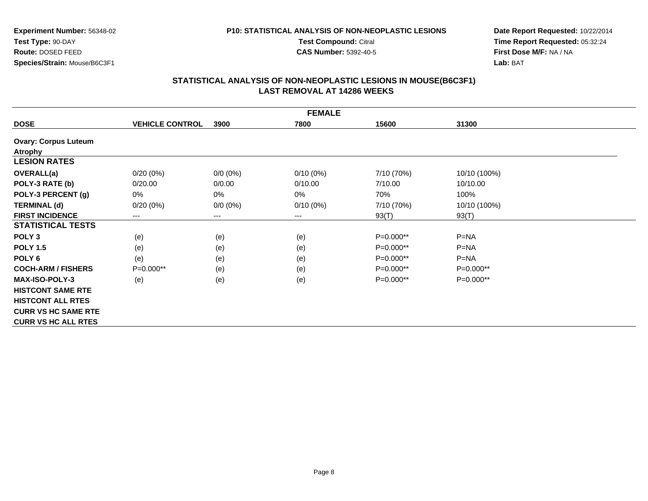# **P10: STATISTICAL ANALYSIS OF NON-NEOPLASTIC LESIONS**

**Test Compound:** Citral

**CAS Number:** 5392-40-5

**Date Report Requested:** 10/22/2014**Time Report Requested:** 05:32:24**First Dose M/F:** NA / NA**Lab:** BAT

|                             |                        |             | <b>FEMALE</b> |             |              |
|-----------------------------|------------------------|-------------|---------------|-------------|--------------|
| <b>DOSE</b>                 | <b>VEHICLE CONTROL</b> | 3900        | 7800          | 15600       | 31300        |
| <b>Ovary: Corpus Luteum</b> |                        |             |               |             |              |
| <b>Atrophy</b>              |                        |             |               |             |              |
| <b>LESION RATES</b>         |                        |             |               |             |              |
| <b>OVERALL(a)</b>           | $0/20(0\%)$            | $0/0 (0\%)$ | $0/10(0\%)$   | 7/10 (70%)  | 10/10 (100%) |
| POLY-3 RATE (b)             | 0/20.00                | 0/0.00      | 0/10.00       | 7/10.00     | 10/10.00     |
| POLY-3 PERCENT (g)          | 0%                     | 0%          | 0%            | 70%         | 100%         |
| <b>TERMINAL (d)</b>         | $0/20(0\%)$            | $0/0 (0\%)$ | $0/10(0\%)$   | 7/10 (70%)  | 10/10 (100%) |
| <b>FIRST INCIDENCE</b>      | $---$                  | $---$       | $---$         | 93(T)       | 93(T)        |
| <b>STATISTICAL TESTS</b>    |                        |             |               |             |              |
| POLY <sub>3</sub>           | (e)                    | (e)         | (e)           | P=0.000**   | $P = NA$     |
| <b>POLY 1.5</b>             | (e)                    | (e)         | (e)           | P=0.000**   | $P = NA$     |
| POLY <sub>6</sub>           | (e)                    | (e)         | (e)           | P=0.000**   | $P=NA$       |
| <b>COCH-ARM / FISHERS</b>   | $P=0.000**$            | (e)         | (e)           | P=0.000**   | $P=0.000**$  |
| <b>MAX-ISO-POLY-3</b>       | (e)                    | (e)         | (e)           | $P=0.000**$ | $P=0.000**$  |
| <b>HISTCONT SAME RTE</b>    |                        |             |               |             |              |
| <b>HISTCONT ALL RTES</b>    |                        |             |               |             |              |
| <b>CURR VS HC SAME RTE</b>  |                        |             |               |             |              |
| <b>CURR VS HC ALL RTES</b>  |                        |             |               |             |              |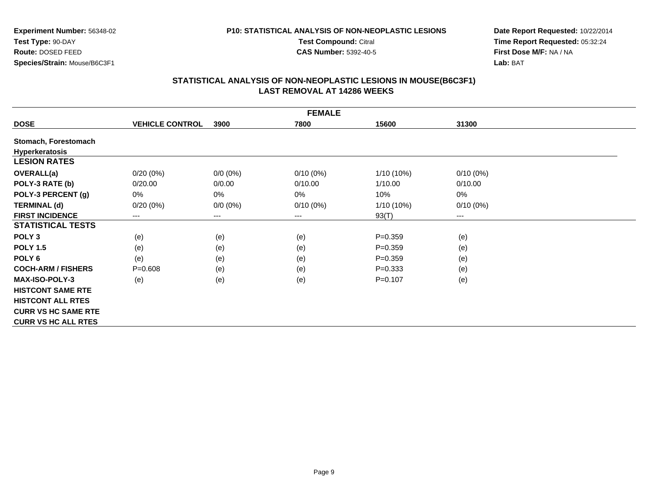# **P10: STATISTICAL ANALYSIS OF NON-NEOPLASTIC LESIONS**

**Test Compound:** Citral

**CAS Number:** 5392-40-5

**Date Report Requested:** 10/22/2014**Time Report Requested:** 05:32:24**First Dose M/F:** NA / NA**Lab:** BAT

|                            |                        |             | <b>FEMALE</b> |              |             |
|----------------------------|------------------------|-------------|---------------|--------------|-------------|
| <b>DOSE</b>                | <b>VEHICLE CONTROL</b> | 3900        | 7800          | 15600        | 31300       |
| Stomach, Forestomach       |                        |             |               |              |             |
| Hyperkeratosis             |                        |             |               |              |             |
| <b>LESION RATES</b>        |                        |             |               |              |             |
| OVERALL(a)                 | $0/20(0\%)$            | $0/0 (0\%)$ | $0/10(0\%)$   | $1/10(10\%)$ | $0/10(0\%)$ |
| POLY-3 RATE (b)            | 0/20.00                | 0/0.00      | 0/10.00       | 1/10.00      | 0/10.00     |
| POLY-3 PERCENT (g)         | 0%                     | 0%          | 0%            | 10%          | 0%          |
| <b>TERMINAL (d)</b>        | $0/20(0\%)$            | $0/0 (0\%)$ | $0/10(0\%)$   | 1/10 (10%)   | $0/10(0\%)$ |
| <b>FIRST INCIDENCE</b>     | $\qquad \qquad \cdots$ | ---         | $---$         | 93(T)        | $--$        |
| <b>STATISTICAL TESTS</b>   |                        |             |               |              |             |
| POLY <sub>3</sub>          | (e)                    | (e)         | (e)           | $P = 0.359$  | (e)         |
| <b>POLY 1.5</b>            | (e)                    | (e)         | (e)           | $P=0.359$    | (e)         |
| POLY 6                     | (e)                    | (e)         | (e)           | $P = 0.359$  | (e)         |
| <b>COCH-ARM / FISHERS</b>  | $P = 0.608$            | (e)         | (e)           | $P = 0.333$  | (e)         |
| <b>MAX-ISO-POLY-3</b>      | (e)                    | (e)         | (e)           | $P=0.107$    | (e)         |
| <b>HISTCONT SAME RTE</b>   |                        |             |               |              |             |
| <b>HISTCONT ALL RTES</b>   |                        |             |               |              |             |
| <b>CURR VS HC SAME RTE</b> |                        |             |               |              |             |
| <b>CURR VS HC ALL RTES</b> |                        |             |               |              |             |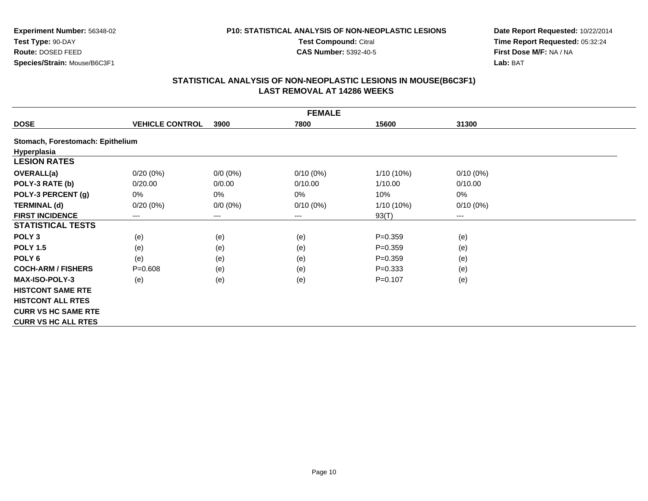# **P10: STATISTICAL ANALYSIS OF NON-NEOPLASTIC LESIONS**

**Test Compound:** Citral

**CAS Number:** 5392-40-5

**Date Report Requested:** 10/22/2014**Time Report Requested:** 05:32:24**First Dose M/F:** NA / NA**Lab:** BAT

|                                  |                        |             | <b>FEMALE</b> |             |             |
|----------------------------------|------------------------|-------------|---------------|-------------|-------------|
| <b>DOSE</b>                      | <b>VEHICLE CONTROL</b> | 3900        | 7800          | 15600       | 31300       |
| Stomach, Forestomach: Epithelium |                        |             |               |             |             |
| Hyperplasia                      |                        |             |               |             |             |
| <b>LESION RATES</b>              |                        |             |               |             |             |
| <b>OVERALL(a)</b>                | $0/20(0\%)$            | $0/0 (0\%)$ | $0/10(0\%)$   | 1/10 (10%)  | $0/10(0\%)$ |
| POLY-3 RATE (b)                  | 0/20.00                | 0/0.00      | 0/10.00       | 1/10.00     | 0/10.00     |
| POLY-3 PERCENT (g)               | 0%                     | 0%          | 0%            | 10%         | 0%          |
| <b>TERMINAL (d)</b>              | $0/20(0\%)$            | $0/0 (0\%)$ | $0/10(0\%)$   | 1/10 (10%)  | $0/10(0\%)$ |
| <b>FIRST INCIDENCE</b>           | ---                    | $---$       | $---$         | 93(T)       | $--$        |
| <b>STATISTICAL TESTS</b>         |                        |             |               |             |             |
| POLY <sub>3</sub>                | (e)                    | (e)         | (e)           | $P = 0.359$ | (e)         |
| <b>POLY 1.5</b>                  | (e)                    | (e)         | (e)           | $P = 0.359$ | (e)         |
| POLY <sub>6</sub>                | (e)                    | (e)         | (e)           | $P = 0.359$ | (e)         |
| <b>COCH-ARM / FISHERS</b>        | $P = 0.608$            | (e)         | (e)           | $P=0.333$   | (e)         |
| <b>MAX-ISO-POLY-3</b>            | (e)                    | (e)         | (e)           | $P=0.107$   | (e)         |
| <b>HISTCONT SAME RTE</b>         |                        |             |               |             |             |
| <b>HISTCONT ALL RTES</b>         |                        |             |               |             |             |
| <b>CURR VS HC SAME RTE</b>       |                        |             |               |             |             |
| <b>CURR VS HC ALL RTES</b>       |                        |             |               |             |             |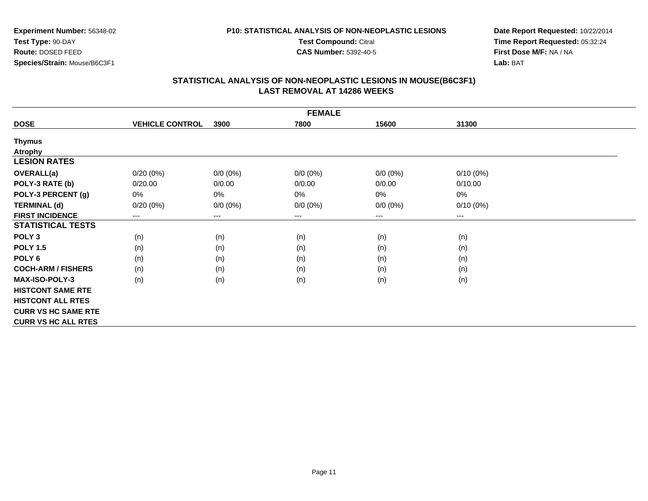#### **P10: STATISTICAL ANALYSIS OF NON-NEOPLASTIC LESIONS**

**Test Compound:** Citral

**CAS Number:** 5392-40-5

**Date Report Requested:** 10/22/2014**Time Report Requested:** 05:32:24**First Dose M/F:** NA / NA**Lab:** BAT

|                            |                        |             | <b>FEMALE</b>          |             |             |  |
|----------------------------|------------------------|-------------|------------------------|-------------|-------------|--|
| <b>DOSE</b>                | <b>VEHICLE CONTROL</b> | 3900        | 7800                   | 15600       | 31300       |  |
| <b>Thymus</b>              |                        |             |                        |             |             |  |
| <b>Atrophy</b>             |                        |             |                        |             |             |  |
| <b>LESION RATES</b>        |                        |             |                        |             |             |  |
| <b>OVERALL(a)</b>          | $0/20(0\%)$            | $0/0 (0\%)$ | $0/0 (0\%)$            | $0/0(0\%)$  | $0/10(0\%)$ |  |
| POLY-3 RATE (b)            | 0/20.00                | 0/0.00      | 0/0.00                 | 0/0.00      | 0/10.00     |  |
| POLY-3 PERCENT (g)         | 0%                     | 0%          | 0%                     | 0%          | 0%          |  |
| <b>TERMINAL (d)</b>        | $0/20(0\%)$            | $0/0 (0\%)$ | $0/0 (0\%)$            | $0/0 (0\%)$ | $0/10(0\%)$ |  |
| <b>FIRST INCIDENCE</b>     | ---                    | ---         | $\qquad \qquad \cdots$ | ---         | ---         |  |
| <b>STATISTICAL TESTS</b>   |                        |             |                        |             |             |  |
| POLY <sub>3</sub>          | (n)                    | (n)         | (n)                    | (n)         | (n)         |  |
| <b>POLY 1.5</b>            | (n)                    | (n)         | (n)                    | (n)         | (n)         |  |
| POLY <sub>6</sub>          | (n)                    | (n)         | (n)                    | (n)         | (n)         |  |
| <b>COCH-ARM / FISHERS</b>  | (n)                    | (n)         | (n)                    | (n)         | (n)         |  |
| <b>MAX-ISO-POLY-3</b>      | (n)                    | (n)         | (n)                    | (n)         | (n)         |  |
| <b>HISTCONT SAME RTE</b>   |                        |             |                        |             |             |  |
| <b>HISTCONT ALL RTES</b>   |                        |             |                        |             |             |  |
| <b>CURR VS HC SAME RTE</b> |                        |             |                        |             |             |  |
| <b>CURR VS HC ALL RTES</b> |                        |             |                        |             |             |  |